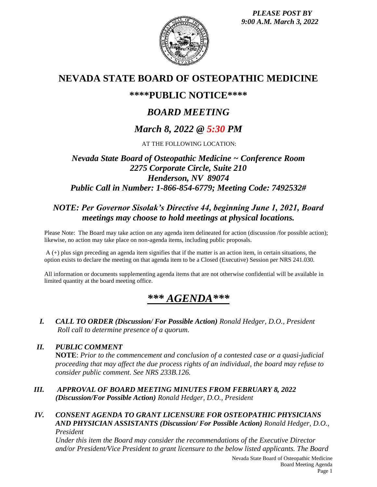*PLEASE POST BY 9:00 A.M. March 3, 2022*



## **NEVADA STATE BOARD OF OSTEOPATHIC MEDICINE**

## **\*\*\*\*PUBLIC NOTICE\*\*\*\***

# *BOARD MEETING*

# *March 8, 2022 @ 5:30 PM*

AT THE FOLLOWING LOCATION:

## *Nevada State Board of Osteopathic Medicine ~ Conference Room 2275 Corporate Circle, Suite 210 Henderson, NV 89074 Public Call in Number: 1-866-854-6779; Meeting Code: 7492532#*

## *NOTE: Per Governor Sisolak's Directive 44, beginning June 1, 2021, Board meetings may choose to hold meetings at physical locations.*

Please Note: The Board may take action on any agenda item delineated for action (discussion /for possible action); likewise, no action may take place on non-agenda items, including public proposals.

A (+) plus sign preceding an agenda item signifies that if the matter is an action item, in certain situations, the option exists to declare the meeting on that agenda item to be a Closed (Executive) Session per NRS 241.030.

All information or documents supplementing agenda items that are not otherwise confidential will be available in limited quantity at the board meeting office.

# *\*\*\* AGENDA\*\*\**

*I. CALL TO ORDER (Discussion/ For Possible Action) Ronald Hedger, D.O., President Roll call to determine presence of a quorum.*

### *II. PUBLIC COMMENT*

**NOTE**: *Prior to the commencement and conclusion of a contested case or a quasi-judicial proceeding that may affect the due process rights of an individual, the board may refuse to consider public comment. See NRS 233B.126.*

*III. APPROVAL OF BOARD MEETING MINUTES FROM FEBRUARY 8, 2022 (Discussion/For Possible Action) Ronald Hedger, D.O., President*

#### *IV. CONSENT AGENDA TO GRANT LICENSURE FOR OSTEOPATHIC PHYSICIANS AND PHYSICIAN ASSISTANTS (Discussion/ For Possible Action) Ronald Hedger, D.O., President*

*Under this item the Board may consider the recommendations of the Executive Director and/or President/Vice President to grant licensure to the below listed applicants. The Board*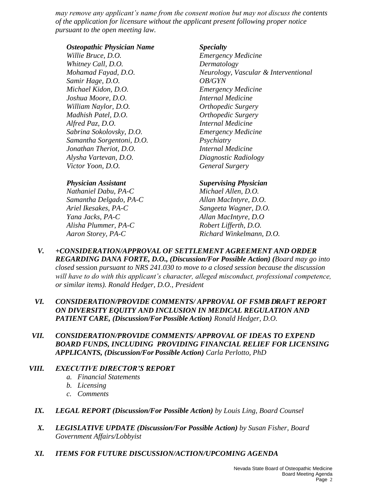*may remove any applicant's name from the consent motion but may not discuss the contents of the application for licensure without the applicant present following proper notice pursuant to the open meeting law.*

#### *Osteopathic Physician Name Specialty*

*Willie Bruce, D.O. Emergency Medicine Whitney Call, D.O. Dermatology Samir Hage, D.O. OB/GYN Michael Kidon, D.O. Emergency Medicine Joshua Moore, D.O. Internal Medicine William Naylor, D.O. Orthopedic Surgery Madhish Patel, D.O. Orthopedic Surgery Alfred Paz, D.O. Internal Medicine Sabrina Sokolovsky, D.O. Emergency Medicine Samantha Sorgentoni, D.O. Psychiatry Jonathan Theriot, D.O. Internal Medicine Alysha Vartevan, D.O. Diagnostic Radiology Victor Yoon, D.O. General Surgery* 

*Nathaniel Dabu, PA-C Michael Allen, D.O. Samantha Delgado, PA-C Allan MacIntyre, D.O. Ariel Ikesakes, PA-C Sangeeta Wagner, D.O. Yana Jacks, PA-C Allan MacIntyre, D.O Alisha Plummer, PA-C Robert Lifferth, D.O.*

*Mohamad Fayad, D.O. Neurology, Vascular & Interventional* 

#### *Physician Assistant Supervising Physician*

*Aaron Storey, PA-C Richard Winkelmann, D.O.* 

- *V. +CONSIDERATION/APPROVAL OF SETTLEMENT AGREEMENT AND ORDER REGARDING DANA FORTE, D.O., (Discussion/For Possible Action) (Board may go into closed* session *pursuant to NRS 241.030 to move to a closed session because the discussion will have to do with this applicant's character, alleged misconduct, professional competence, or similar items). Ronald Hedger, D.O., President*
- *VI. CONSIDERATION/PROVIDE COMMENTS/ APPROVAL OF FSMB DRAFT REPORT ON DIVERSITY EQUITY AND INCLUSION IN MEDICAL REGULATION AND PATIENT CARE, (Discussion/For Possible Action) Ronald Hedger, D.O.*
- *VII. CONSIDERATION/PROVIDE COMMENTS/ APPROVAL OF IDEAS TO EXPEND BOARD FUNDS, INCLUDING PROVIDING FINANCIAL RELIEF FOR LICENSING APPLICANTS, (Discussion/For Possible Action) Carla Perlotto, PhD*

### *VIII. EXECUTIVE DIRECTOR'S REPORT*

- *a. Financial Statements*
- *b. Licensing*
- *c. Comments*
- *IX. LEGAL REPORT (Discussion/For Possible Action) by Louis Ling, Board Counsel*
- *X. LEGISLATIVE UPDATE (Discussion/For Possible Action) by Susan Fisher, Board Government Affairs/Lobbyist*
- *XI. ITEMS FOR FUTURE DISCUSSION/ACTION/UPCOMING AGENDA*